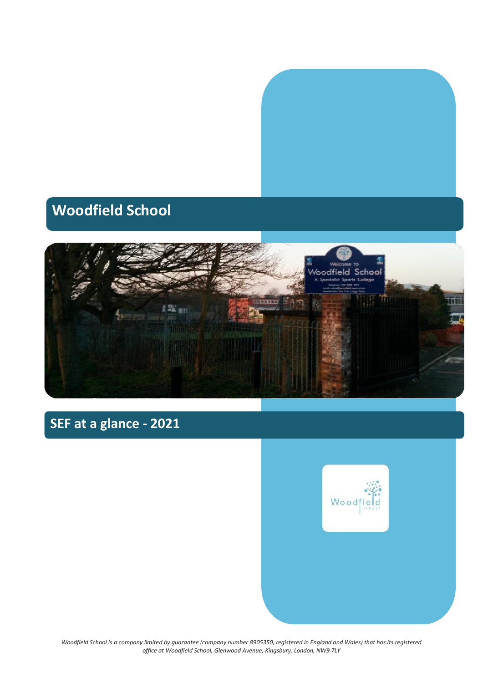

## **Woodfield School**



## **SEF at a glance - 2021**



*Woodfield School is a company limited by guarantee (company number 8905350, registered in England and Wales) that has its registered office at Woodfield School, Glenwood Avenue, Kingsbury, London, NW9 7LY*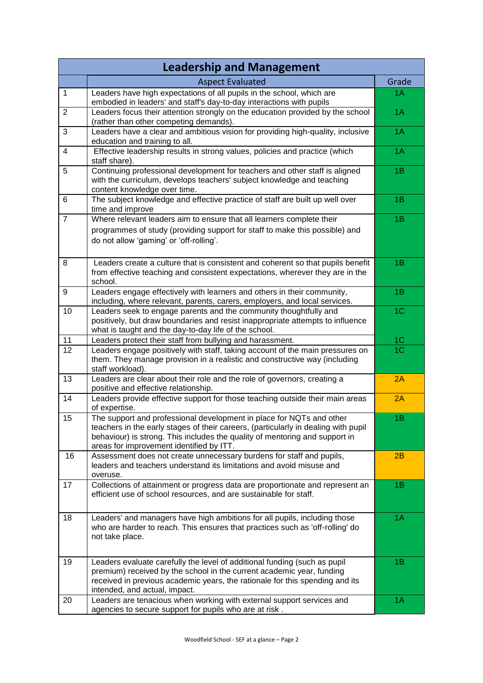| <b>Leadership and Management</b> |                                                                                                                                                                                                                                                                                       |                |
|----------------------------------|---------------------------------------------------------------------------------------------------------------------------------------------------------------------------------------------------------------------------------------------------------------------------------------|----------------|
|                                  | <b>Aspect Evaluated</b>                                                                                                                                                                                                                                                               | Grade          |
| $\mathbf{1}$                     | Leaders have high expectations of all pupils in the school, which are<br>embodied in leaders' and staff's day-to-day interactions with pupils                                                                                                                                         | 1A             |
| $\overline{2}$                   | Leaders focus their attention strongly on the education provided by the school<br>(rather than other competing demands).                                                                                                                                                              | 1A             |
| 3                                | Leaders have a clear and ambitious vision for providing high-quality, inclusive<br>education and training to all.                                                                                                                                                                     | 1A             |
| $\overline{4}$                   | Effective leadership results in strong values, policies and practice (which<br>staff share).                                                                                                                                                                                          | 1A             |
| 5                                | Continuing professional development for teachers and other staff is aligned<br>with the curriculum, develops teachers' subject knowledge and teaching<br>content knowledge over time.                                                                                                 | 1B             |
| 6                                | The subject knowledge and effective practice of staff are built up well over<br>time and improve                                                                                                                                                                                      | 1B             |
| $\overline{7}$                   | Where relevant leaders aim to ensure that all learners complete their<br>programmes of study (providing support for staff to make this possible) and<br>do not allow 'gaming' or 'off-rolling'.                                                                                       | 1B             |
| 8                                | Leaders create a culture that is consistent and coherent so that pupils benefit<br>from effective teaching and consistent expectations, wherever they are in the<br>school.                                                                                                           | 1B             |
| 9                                | Leaders engage effectively with learners and others in their community,<br>including, where relevant, parents, carers, employers, and local services.                                                                                                                                 | 1B             |
| 10                               | Leaders seek to engage parents and the community thoughtfully and<br>positively, but draw boundaries and resist inappropriate attempts to influence<br>what is taught and the day-to-day life of the school.                                                                          | 1 <sup>C</sup> |
| 11                               | Leaders protect their staff from bullying and harassment.                                                                                                                                                                                                                             | 1 <sup>C</sup> |
| 12                               | Leaders engage positively with staff, taking account of the main pressures on<br>them. They manage provision in a realistic and constructive way (including<br>staff workload).                                                                                                       | 1 <sup>C</sup> |
| 13                               | Leaders are clear about their role and the role of governors, creating a<br>positive and effective relationship.                                                                                                                                                                      | 2A             |
| 14                               | Leaders provide effective support for those teaching outside their main areas<br>of expertise.                                                                                                                                                                                        | 2A             |
| 15                               | The support and professional development in place for NQTs and other<br>teachers in the early stages of their careers, (particularly in dealing with pupil<br>behaviour) is strong. This includes the quality of mentoring and support in<br>areas for improvement identified by ITT. | 1B             |
| 16                               | Assessment does not create unnecessary burdens for staff and pupils,<br>leaders and teachers understand its limitations and avoid misuse and<br>overuse.                                                                                                                              | 2B             |
| 17                               | Collections of attainment or progress data are proportionate and represent an<br>efficient use of school resources, and are sustainable for staff.                                                                                                                                    | 1B             |
| 18                               | Leaders' and managers have high ambitions for all pupils, including those<br>who are harder to reach. This ensures that practices such as 'off-rolling' do<br>not take place.                                                                                                         | 1A             |
| 19                               | Leaders evaluate carefully the level of additional funding (such as pupil<br>premium) received by the school in the current academic year, funding<br>received in previous academic years, the rationale for this spending and its<br>intended, and actual, impact.                   | 1B             |
| 20                               | Leaders are tenacious when working with external support services and<br>agencies to secure support for pupils who are at risk.                                                                                                                                                       | 1Α             |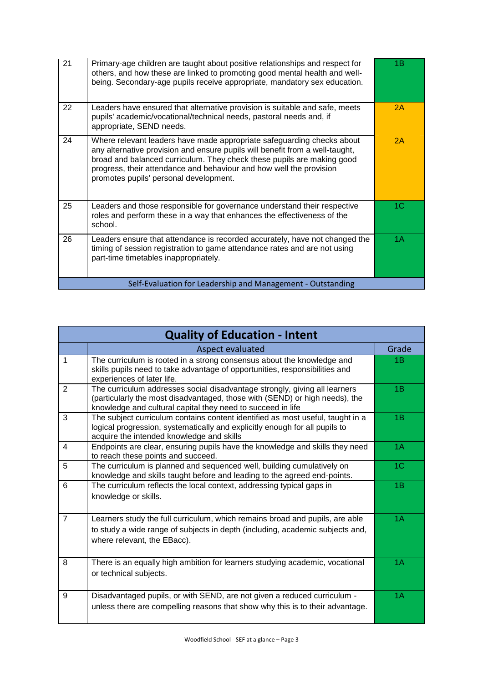| 21 | Primary-age children are taught about positive relationships and respect for<br>others, and how these are linked to promoting good mental health and well-<br>being. Secondary-age pupils receive appropriate, mandatory sex education.                                                                                                           | 1B |
|----|---------------------------------------------------------------------------------------------------------------------------------------------------------------------------------------------------------------------------------------------------------------------------------------------------------------------------------------------------|----|
| 22 | Leaders have ensured that alternative provision is suitable and safe, meets<br>pupils' academic/vocational/technical needs, pastoral needs and, if<br>appropriate, SEND needs.                                                                                                                                                                    | 2A |
| 24 | Where relevant leaders have made appropriate safeguarding checks about<br>any alternative provision and ensure pupils will benefit from a well-taught,<br>broad and balanced curriculum. They check these pupils are making good<br>progress, their attendance and behaviour and how well the provision<br>promotes pupils' personal development. | 2A |
| 25 | Leaders and those responsible for governance understand their respective<br>roles and perform these in a way that enhances the effectiveness of the<br>school.                                                                                                                                                                                    | 1C |
| 26 | Leaders ensure that attendance is recorded accurately, have not changed the<br>timing of session registration to game attendance rates and are not using<br>part-time timetables inappropriately.                                                                                                                                                 | 1A |
|    | Self-Evaluation for Leadership and Management - Outstanding                                                                                                                                                                                                                                                                                       |    |

|                | <b>Quality of Education - Intent</b>                                                                                                                                                                                     |                |  |
|----------------|--------------------------------------------------------------------------------------------------------------------------------------------------------------------------------------------------------------------------|----------------|--|
|                | Aspect evaluated                                                                                                                                                                                                         | Grade          |  |
| 1              | The curriculum is rooted in a strong consensus about the knowledge and<br>skills pupils need to take advantage of opportunities, responsibilities and<br>experiences of later life.                                      | 1B             |  |
| 2              | The curriculum addresses social disadvantage strongly, giving all learners<br>(particularly the most disadvantaged, those with (SEND) or high needs), the<br>knowledge and cultural capital they need to succeed in life | 1B             |  |
| 3              | The subject curriculum contains content identified as most useful, taught in a<br>logical progression, systematically and explicitly enough for all pupils to<br>acquire the intended knowledge and skills               | 1B             |  |
| 4              | Endpoints are clear, ensuring pupils have the knowledge and skills they need<br>to reach these points and succeed.                                                                                                       | 1A             |  |
| 5              | The curriculum is planned and sequenced well, building cumulatively on<br>knowledge and skills taught before and leading to the agreed end-points.                                                                       | 1 <sup>C</sup> |  |
| 6              | The curriculum reflects the local context, addressing typical gaps in<br>knowledge or skills.                                                                                                                            | 1B             |  |
| $\overline{7}$ | Learners study the full curriculum, which remains broad and pupils, are able<br>to study a wide range of subjects in depth (including, academic subjects and,<br>where relevant, the EBacc).                             | 1A             |  |
| 8              | There is an equally high ambition for learners studying academic, vocational<br>or technical subjects.                                                                                                                   | 1A             |  |
| 9              | Disadvantaged pupils, or with SEND, are not given a reduced curriculum -<br>unless there are compelling reasons that show why this is to their advantage.                                                                | 1A             |  |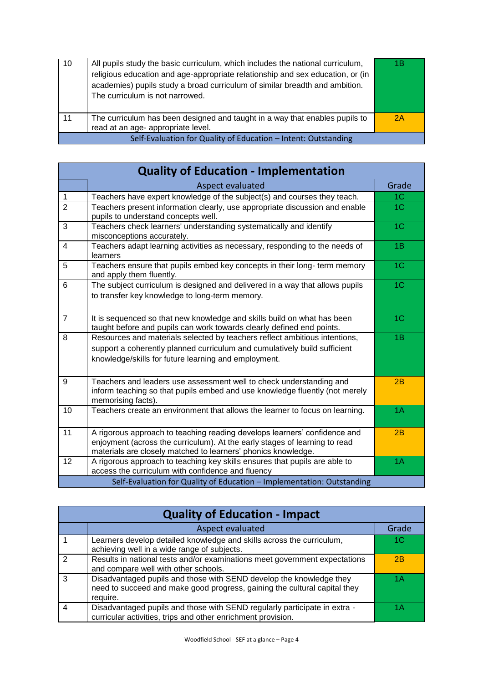| 10 | All pupils study the basic curriculum, which includes the national curriculum,<br>religious education and age-appropriate relationship and sex education, or (in<br>academies) pupils study a broad curriculum of similar breadth and ambition.<br>The curriculum is not narrowed. | 1Β |
|----|------------------------------------------------------------------------------------------------------------------------------------------------------------------------------------------------------------------------------------------------------------------------------------|----|
| 11 | The curriculum has been designed and taught in a way that enables pupils to<br>read at an age- appropriate level.                                                                                                                                                                  | 2A |
|    | Self-Evaluation for Quality of Education - Intent: Outstanding                                                                                                                                                                                                                     |    |

| <b>Quality of Education - Implementation</b> |                                                                                                                                                                                                                          |                |
|----------------------------------------------|--------------------------------------------------------------------------------------------------------------------------------------------------------------------------------------------------------------------------|----------------|
|                                              | Aspect evaluated                                                                                                                                                                                                         | Grade          |
| $\mathbf{1}$                                 | Teachers have expert knowledge of the subject(s) and courses they teach.                                                                                                                                                 | 1 <sup>C</sup> |
| $\overline{2}$                               | Teachers present information clearly, use appropriate discussion and enable<br>pupils to understand concepts well.                                                                                                       | 1 <sup>C</sup> |
| 3                                            | Teachers check learners' understanding systematically and identify<br>misconceptions accurately.                                                                                                                         | 1 <sup>C</sup> |
| $\overline{4}$                               | Teachers adapt learning activities as necessary, responding to the needs of<br>learners                                                                                                                                  | 1B             |
| 5                                            | Teachers ensure that pupils embed key concepts in their long- term memory<br>and apply them fluently.                                                                                                                    | 1 <sup>C</sup> |
| 6                                            | The subject curriculum is designed and delivered in a way that allows pupils<br>to transfer key knowledge to long-term memory.                                                                                           | 1 <sup>C</sup> |
| $\overline{7}$                               | It is sequenced so that new knowledge and skills build on what has been<br>taught before and pupils can work towards clearly defined end points.                                                                         | 1 <sup>C</sup> |
| 8                                            | Resources and materials selected by teachers reflect ambitious intentions,<br>support a coherently planned curriculum and cumulatively build sufficient<br>knowledge/skills for future learning and employment.          | 1B             |
| 9                                            | Teachers and leaders use assessment well to check understanding and<br>inform teaching so that pupils embed and use knowledge fluently (not merely<br>memorising facts).                                                 | 2B             |
| 10                                           | Teachers create an environment that allows the learner to focus on learning.                                                                                                                                             | 1A             |
| 11                                           | A rigorous approach to teaching reading develops learners' confidence and<br>enjoyment (across the curriculum). At the early stages of learning to read<br>materials are closely matched to learners' phonics knowledge. | 2B             |
| 12                                           | A rigorous approach to teaching key skills ensures that pupils are able to<br>access the curriculum with confidence and fluency                                                                                          | 1A             |
|                                              | Self-Evaluation for Quality of Education - Implementation: Outstanding                                                                                                                                                   |                |

| <b>Quality of Education - Impact</b> |                                                                                                                                                              |       |
|--------------------------------------|--------------------------------------------------------------------------------------------------------------------------------------------------------------|-------|
|                                      | Aspect evaluated                                                                                                                                             | Grade |
|                                      | Learners develop detailed knowledge and skills across the curriculum,<br>achieving well in a wide range of subjects.                                         | 1C    |
| $\mathcal{P}$                        | Results in national tests and/or examinations meet government expectations<br>and compare well with other schools.                                           | 2B    |
| 3                                    | Disadvantaged pupils and those with SEND develop the knowledge they<br>need to succeed and make good progress, gaining the cultural capital they<br>require. | 1Α    |
|                                      | Disadvantaged pupils and those with SEND regularly participate in extra -<br>curricular activities, trips and other enrichment provision.                    | 1 Δ   |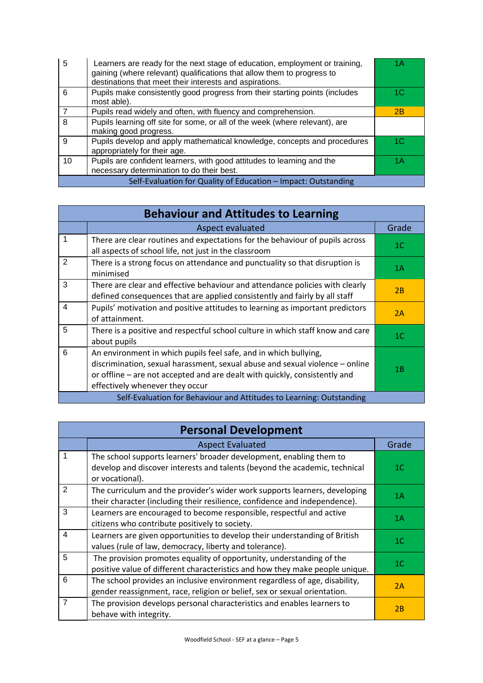| 5  | Learners are ready for the next stage of education, employment or training,<br>gaining (where relevant) qualifications that allow them to progress to<br>destinations that meet their interests and aspirations. | 1Α  |
|----|------------------------------------------------------------------------------------------------------------------------------------------------------------------------------------------------------------------|-----|
| 6  | Pupils make consistently good progress from their starting points (includes<br>most able).                                                                                                                       | 1C  |
|    | Pupils read widely and often, with fluency and comprehension.                                                                                                                                                    | 2B  |
| 8  | Pupils learning off site for some, or all of the week (where relevant), are<br>making good progress.                                                                                                             |     |
| 9  | Pupils develop and apply mathematical knowledge, concepts and procedures<br>appropriately for their age.                                                                                                         | 1C. |
| 10 | Pupils are confident learners, with good attitudes to learning and the<br>necessary determination to do their best.                                                                                              | 1 A |
|    | Self-Evaluation for Quality of Education - Impact: Outstanding                                                                                                                                                   |     |

| <b>Behaviour and Attitudes to Learning</b> |                                                                                                                                                                                                                                                                   |                |
|--------------------------------------------|-------------------------------------------------------------------------------------------------------------------------------------------------------------------------------------------------------------------------------------------------------------------|----------------|
|                                            | Aspect evaluated                                                                                                                                                                                                                                                  | Grade          |
| 1                                          | There are clear routines and expectations for the behaviour of pupils across<br>all aspects of school life, not just in the classroom                                                                                                                             | 1 <sup>C</sup> |
| 2                                          | There is a strong focus on attendance and punctuality so that disruption is<br>minimised                                                                                                                                                                          | 1A             |
| 3                                          | There are clear and effective behaviour and attendance policies with clearly<br>defined consequences that are applied consistently and fairly by all staff                                                                                                        | 2B             |
| $\overline{4}$                             | Pupils' motivation and positive attitudes to learning as important predictors<br>of attainment.                                                                                                                                                                   | 2A             |
| 5                                          | There is a positive and respectful school culture in which staff know and care<br>about pupils                                                                                                                                                                    | 1 <sup>C</sup> |
| 6                                          | An environment in which pupils feel safe, and in which bullying,<br>discrimination, sexual harassment, sexual abuse and sexual violence - online<br>or offline – are not accepted and are dealt with quickly, consistently and<br>effectively whenever they occur | 1B             |
|                                            | Self-Evaluation for Behaviour and Attitudes to Learning: Outstanding                                                                                                                                                                                              |                |

| <b>Personal Development</b> |                                                                                                                                                                      |                |
|-----------------------------|----------------------------------------------------------------------------------------------------------------------------------------------------------------------|----------------|
|                             | <b>Aspect Evaluated</b>                                                                                                                                              | Grade          |
| 1                           | The school supports learners' broader development, enabling them to<br>develop and discover interests and talents (beyond the academic, technical<br>or vocational). | 1 <sup>C</sup> |
| $\overline{2}$              | The curriculum and the provider's wider work supports learners, developing<br>their character (including their resilience, confidence and independence).             | 1A             |
| 3                           | Learners are encouraged to become responsible, respectful and active<br>citizens who contribute positively to society.                                               | 1A             |
| $\overline{4}$              | Learners are given opportunities to develop their understanding of British<br>values (rule of law, democracy, liberty and tolerance).                                | 1 <sup>C</sup> |
| 5                           | The provision promotes equality of opportunity, understanding of the<br>positive value of different characteristics and how they make people unique.                 | 1 <sup>C</sup> |
| 6                           | The school provides an inclusive environment regardless of age, disability,<br>gender reassignment, race, religion or belief, sex or sexual orientation.             | 2A             |
| $\overline{7}$              | The provision develops personal characteristics and enables learners to<br>behave with integrity.                                                                    | 2B             |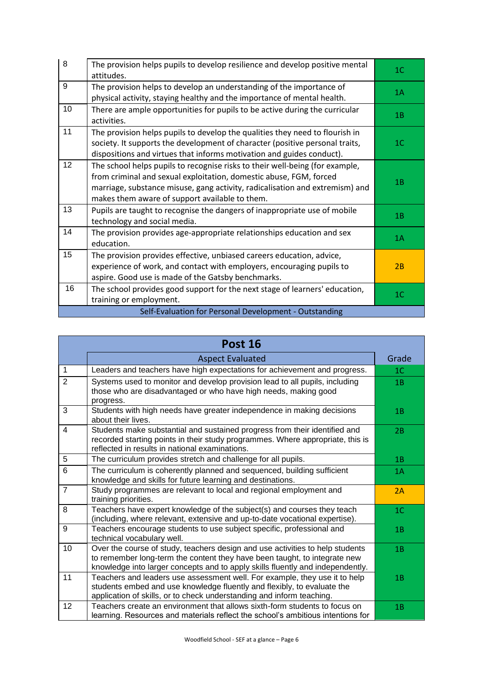| 8                                                      | The provision helps pupils to develop resilience and develop positive mental<br>attitudes.                                                                                                                                                                                           | 1 <sup>C</sup> |
|--------------------------------------------------------|--------------------------------------------------------------------------------------------------------------------------------------------------------------------------------------------------------------------------------------------------------------------------------------|----------------|
| 9                                                      | The provision helps to develop an understanding of the importance of<br>physical activity, staying healthy and the importance of mental health.                                                                                                                                      | 1A             |
| 10                                                     | There are ample opportunities for pupils to be active during the curricular<br>activities.                                                                                                                                                                                           | 1B             |
| 11                                                     | The provision helps pupils to develop the qualities they need to flourish in<br>society. It supports the development of character (positive personal traits,<br>dispositions and virtues that informs motivation and guides conduct).                                                | 1 <sup>C</sup> |
| 12                                                     | The school helps pupils to recognise risks to their well-being (for example,<br>from criminal and sexual exploitation, domestic abuse, FGM, forced<br>marriage, substance misuse, gang activity, radicalisation and extremism) and<br>makes them aware of support available to them. | 1B             |
| 13                                                     | Pupils are taught to recognise the dangers of inappropriate use of mobile<br>technology and social media.                                                                                                                                                                            | 1B             |
| 14                                                     | The provision provides age-appropriate relationships education and sex<br>education.                                                                                                                                                                                                 | 1A             |
| 15                                                     | The provision provides effective, unbiased careers education, advice,<br>experience of work, and contact with employers, encouraging pupils to<br>aspire. Good use is made of the Gatsby benchmarks.                                                                                 | 2B             |
| 16                                                     | The school provides good support for the next stage of learners' education,<br>training or employment.                                                                                                                                                                               | 1 <sub>C</sub> |
| Self-Evaluation for Personal Development - Outstanding |                                                                                                                                                                                                                                                                                      |                |

| <b>Post 16</b> |                                                                                                                                                                                                                                              |                |
|----------------|----------------------------------------------------------------------------------------------------------------------------------------------------------------------------------------------------------------------------------------------|----------------|
|                | <b>Aspect Evaluated</b>                                                                                                                                                                                                                      | Grade          |
| $\mathbf{1}$   | Leaders and teachers have high expectations for achievement and progress.                                                                                                                                                                    | 1 <sup>C</sup> |
| $\overline{2}$ | Systems used to monitor and develop provision lead to all pupils, including<br>those who are disadvantaged or who have high needs, making good<br>progress.                                                                                  | 1B             |
| 3              | Students with high needs have greater independence in making decisions<br>about their lives.                                                                                                                                                 | 1B             |
| $\overline{4}$ | Students make substantial and sustained progress from their identified and<br>recorded starting points in their study programmes. Where appropriate, this is<br>reflected in results in national examinations.                               | 2B             |
| 5              | The curriculum provides stretch and challenge for all pupils.                                                                                                                                                                                | 1B             |
| 6              | The curriculum is coherently planned and sequenced, building sufficient<br>knowledge and skills for future learning and destinations.                                                                                                        | 1A             |
| $\overline{7}$ | Study programmes are relevant to local and regional employment and<br>training priorities.                                                                                                                                                   | 2A             |
| 8              | Teachers have expert knowledge of the subject(s) and courses they teach<br>(including, where relevant, extensive and up-to-date vocational expertise).                                                                                       | 1 <sup>C</sup> |
| 9              | Teachers encourage students to use subject specific, professional and<br>technical vocabulary well.                                                                                                                                          | 1B             |
| 10             | Over the course of study, teachers design and use activities to help students<br>to remember long-term the content they have been taught, to integrate new<br>knowledge into larger concepts and to apply skills fluently and independently. | 1B             |
| 11             | Teachers and leaders use assessment well. For example, they use it to help<br>students embed and use knowledge fluently and flexibly, to evaluate the<br>application of skills, or to check understanding and inform teaching.               | 1B             |
| 12             | Teachers create an environment that allows sixth-form students to focus on<br>learning. Resources and materials reflect the school's ambitious intentions for                                                                                | 1B             |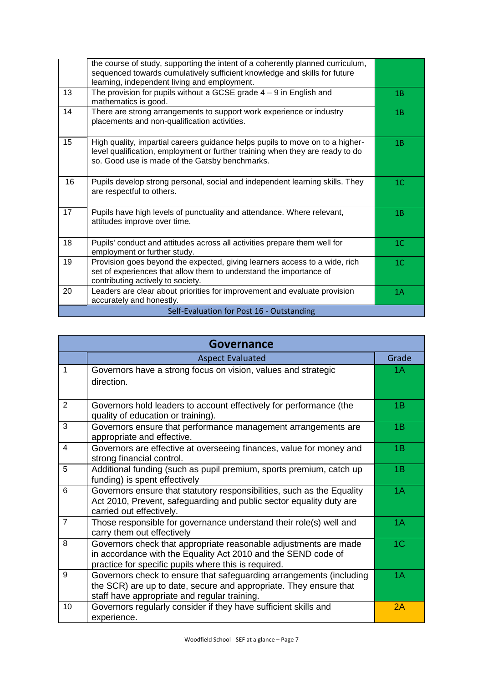|                                           | the course of study, supporting the intent of a coherently planned curriculum,<br>sequenced towards cumulatively sufficient knowledge and skills for future<br>learning, independent living and employment.      |                |
|-------------------------------------------|------------------------------------------------------------------------------------------------------------------------------------------------------------------------------------------------------------------|----------------|
| 13                                        | The provision for pupils without a GCSE grade $4 - 9$ in English and<br>mathematics is good.                                                                                                                     | 1B             |
| 14                                        | There are strong arrangements to support work experience or industry<br>placements and non-qualification activities.                                                                                             | 1B             |
| 15                                        | High quality, impartial careers guidance helps pupils to move on to a higher-<br>level qualification, employment or further training when they are ready to do<br>so. Good use is made of the Gatsby benchmarks. | 1B             |
| 16                                        | Pupils develop strong personal, social and independent learning skills. They<br>are respectful to others.                                                                                                        | 1 <sup>C</sup> |
| 17                                        | Pupils have high levels of punctuality and attendance. Where relevant,<br>attitudes improve over time.                                                                                                           | 1B             |
| 18                                        | Pupils' conduct and attitudes across all activities prepare them well for<br>employment or further study.                                                                                                        | 1 <sup>C</sup> |
| 19                                        | Provision goes beyond the expected, giving learners access to a wide, rich<br>set of experiences that allow them to understand the importance of<br>contributing actively to society.                            | 1 <sup>C</sup> |
| 20                                        | Leaders are clear about priorities for improvement and evaluate provision<br>accurately and honestly.                                                                                                            | 1A             |
| Self-Evaluation for Post 16 - Outstanding |                                                                                                                                                                                                                  |                |

| <b>Governance</b> |                                                                                                                                                                                           |                |
|-------------------|-------------------------------------------------------------------------------------------------------------------------------------------------------------------------------------------|----------------|
|                   | <b>Aspect Evaluated</b>                                                                                                                                                                   | Grade          |
| $\mathbf{1}$      | Governors have a strong focus on vision, values and strategic<br>direction.                                                                                                               | 1A             |
| 2                 | Governors hold leaders to account effectively for performance (the<br>quality of education or training).                                                                                  | 1B             |
| 3                 | Governors ensure that performance management arrangements are<br>appropriate and effective.                                                                                               | 1B             |
| 4                 | Governors are effective at overseeing finances, value for money and<br>strong financial control.                                                                                          | 1B             |
| 5                 | Additional funding (such as pupil premium, sports premium, catch up<br>funding) is spent effectively                                                                                      | 1B             |
| 6                 | Governors ensure that statutory responsibilities, such as the Equality<br>Act 2010, Prevent, safeguarding and public sector equality duty are<br>carried out effectively.                 | 1A             |
| $\overline{7}$    | Those responsible for governance understand their role(s) well and<br>carry them out effectively                                                                                          | 1A             |
| 8                 | Governors check that appropriate reasonable adjustments are made<br>in accordance with the Equality Act 2010 and the SEND code of<br>practice for specific pupils where this is required. | 1 <sup>C</sup> |
| 9                 | Governors check to ensure that safeguarding arrangements (including<br>the SCR) are up to date, secure and appropriate. They ensure that<br>staff have appropriate and regular training.  | 1A             |
| 10                | Governors regularly consider if they have sufficient skills and<br>experience.                                                                                                            | 2A             |